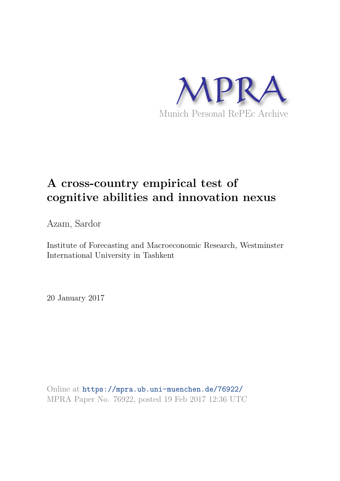

# **A cross-country empirical test of cognitive abilities and innovation nexus**

Azam, Sardor

Institute of Forecasting and Macroeconomic Research, Westminster International University in Tashkent

20 January 2017

Online at https://mpra.ub.uni-muenchen.de/76922/ MPRA Paper No. 76922, posted 19 Feb 2017 12:36 UTC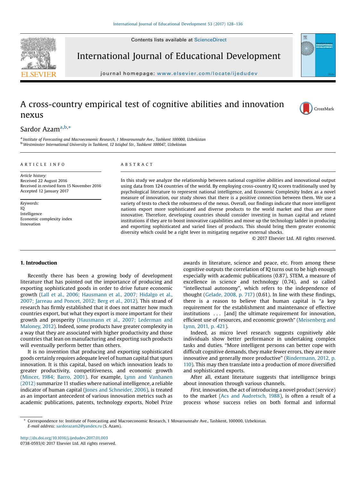Contents lists available at [ScienceDirect](http://www.sciencedirect.com/science/journal/07380593)



International Journal of Educational Development

journal homepage: <www.elsevier.com/locate/ijedudev>

## A cross-country empirical test of cognitive abilities and innovation nexus



### Sardor Azam<sup>a,b,</sup>\*

a *Institute of Forecasting and Macroeconomic Research, 1 Movarounnahr Ave., Tashkent 100000, Uzbekistan* <sup>b</sup>*Westminster International University in Tashkent, <sup>12</sup> Istiqbol Str., Tashkent 100047, Uzbekistan*

#### A R T I C L E I N F O

#### A B S T R A C T

*Article history:* Received 22 August 2016 Received in revised form 15 November 2016 Accepted 12 January 2017

*Keywords:* IQ Intelligence Economic complexity index Innovation

In this study we analyze the relationship between national cognitive abilities and innovational output using data from 124 countries of the world. By employing cross-country IQ scores traditionally used by psychological literature to represent national intelligence, and Economic Complexity Index as a novel measure of innovation, our study shows that there is a positive connection between them. We use a variety of tests to check the robustness of the nexus. Overall, our findings indicate that more intelligent nations export more sophisticated and diverse products to the world market and thus are more innovative. Therefore, developing countries should consider investing in human capital and related institutions if they are to boost innovative capabilities and move up the technology ladder in producing and exporting sophisticated and varied lines of products. This should bring them greater economic diversity which could be a right lever in mitigating negative external shocks.

© 2017 Elsevier Ltd. All rights reserved.

#### 1. Introduction

Recently there has been a growing body of development literature that has pointed out the importance of producing and exporting sophisticated goods in order to drive future economic growth (Lall et al., 2006; [Hausmann](#page-8-0) et al., 2007; Hidalgo et al., 2007; Jarreau and [Poncet,](#page-8-0) 2012; Berg et al., 2012). This strand of research has firmly established that it does not matter how much countries export, but what they export is more important for their growth and prosperity [\(Hausmann](#page-8-0) et al., 2007; Lederman and [Maloney,](#page-8-0) 2012). Indeed, some products have greater complexity in a way that they are associated with higher productivity and those countries that lean on manufacturing and exporting such products will eventually perform better than others.

It is no invention that producing and exporting sophisticated goods certainly requires adequate level of human capital that spurs innovation. It is this capital, based on which innovation leads to greater productivity, competitiveness, and economic growth ([Mincer,](#page-8-0) 1984; Barro, 2001). For example, Lynn and [Vanhanen](#page-8-0) [\(2012\)](#page-8-0) summarize 11 studies where national intelligence, a reliable indicator of human capital (Jones and [Schneider,](#page-8-0) 2006), is treated as an important antecedent of various innovation metrics such as academic publications, patents, technology exports, Nobel Prize

awards in literature, science and peace, etc. From among these cognitive outputs the correlation of IQ turns out to be high enough especially with academic publications (0.87), STEM, a measure of excellence in science and technology (0.74), and so called "intellectual autonomy", which refers to the independence of thought ([Gelade,](#page-8-0) 2008, p. 717) (0.61). In line with these findings, there is a reason to believe that human capital is "a key requirement for the establishment and maintenance of effective institutions . . . [and] the ultimate requirement for innovation, efficient use of resources, and economic growth" ([Meisenberg](#page-8-0) and [Lynn,](#page-8-0) 2011, p. 421).

Indeed, as micro level research suggests cognitively able individuals show better performance in undertaking complex tasks and duties. "More intelligent persons can better cope with difficult cognitive demands, they make fewer errors, they are more innovative and generally more productive" [\(Rindermann,](#page-9-0) 2012, p. [110\)](#page-9-0). This may then translate into a production of more diversified and sophisticated exports.

After all, extant literature suggests that intelligence brings about innovation through various channels.

*First,* innovation, the act of introducing a novel product (service) to the market (Acs and [Audretsch,](#page-8-0) 1988), is often a result of a process whose success relies on both formal and informal

Correspondence to: Institute of Forecasting and Macroeconomic Research, 1 Movarounnahr Ave., Tashkent, 100000, Uzbekistan. *E-mail address:* [sardorazam2@yandex.ru](mailto:sardorazam2@yandex.ru) (S. Azam).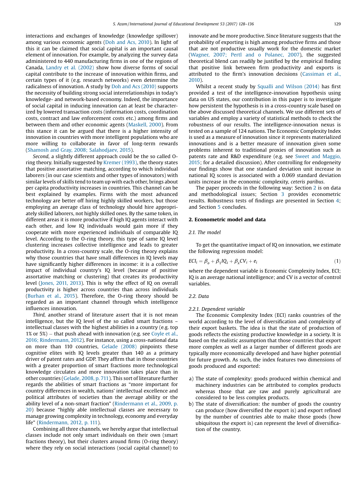interactions and exchanges of knowledge (knowledge spillover) among various economic agents (Doh and Acs, [2010](#page-8-0)). In light of this it can be claimed that social capital is an important causal element of innovation. For example, by analyzing the survey data administered to 440 manufacturing firms in one of the regions of Canada, [Landry](#page-8-0) et al. (2002) show how diverse forms of social capital contribute to the increase of innovation within firms, and certain types of it (e.g. research networks) even determine the radicalness of innovation. A study by Doh and Acs [\(2010\)](#page-8-0) supports the necessity of building strong social interrelationships in today's knowledge- and network-based economy. Indeed, the importance of social capital in inducing innovation can at least be characterized by lowered transaction costs (information costs, coordination costs, contract and law enforcement costs etc.) among firms and between them and other economic agents ([Maskell,](#page-8-0) 2000). From this stance it can be argued that there is a higher intensity of innovation in countries with more intelligent populations who are more willing to collaborate in favor of long-term rewards (Shamosh and Gray, 2008; [Salahodjaev,](#page-9-0) 2015).

*Second,* a slightly different approach could be the so called Oring theory. Initially suggested by [Kremer](#page-8-0) (1993), the theory states that positive assortative matching, according to which individual laborers (in our case scientists and other types of innovators) with similar levels of skills tend to team up with each other, brings about per capita productivity increases in countries. This channel can be best explained by examples. Firms with the most advanced technology are better off hiring highly skilled workers, but those employing an average class of technology should hire appropriately skilled laborers, not highly skilled ones. By the same token, in different areas it is more productive if high IQ agents interact with each other, and low IQ individuals would gain more if they cooperate with more experienced individuals of comparable IQ level. According to the O-ring theory, this type of same IQ level clustering increases collective intelligence and leads to greater productivity. In a cross-country scale, the O-ring theory explains why those countries that have small differences in IQ levels may have significantly higher differences in income: it is a collective impact of individual country's IQ level (because of positive assortative matching or clustering) that creates its productivity level [\(Jones,](#page-8-0) 2011, 2013). This is why the effect of IQ on overall productivity is higher across countries than across individuals ([Burhan](#page-8-0) et al., 2015). Therefore, the O-ring theory should be regarded as an important channel through which intelligence influences innovation.

*Third,* another strand of literature assert that it is not mean intelligence, but the IQ level of the so called smart fractions – intellectual classes with the highest abilities in a country (e.g. top  $1\%$  or 5%) – that push ahead with innovation (e.g. see [Coyle](#page-8-0) et al., 2016; [Rindermann,](#page-8-0) 2012). For instance, using a cross-national data on more than 110 countries, [Gelade](#page-8-0) (2008) pinpoints these cognitive elites with IQ levels greater than 140 as a primary driver of patent rates and GDP. They affirm that in those countries with a greater proportion of smart fractions more technological knowledge circulates and more innovation takes place than in other countries ([Gelade,](#page-8-0) 2008, p. 711). This sort of literature further regards the abilities of smart fractions as "more important for country differences in wealth, nations' intellectual excellence and political attributes of societies than the average ability or the ability level of a non-smart fraction" [\(Rindermann](#page-9-0) et al., 2009, p. [20](#page-9-0)) because "highly able intellectual classes are necessary to manage growing complexity in technology, economy and everyday life" ([Rindermann,](#page-9-0) 2012, p. 111).

Combining all three channels, we hereby argue that intellectual classes include not only smart individuals on their own (smart fractions theory), but their clusters around firms (O-ring theory) where they rely on social interactions (social capital channel) to

innovate and be more productive. Since literature suggests that the probability of exporting is high among productive firms and those that are not productive usually work for the domestic market (Wagner, 2007; Pertl and o [Polanec,](#page-9-0) 2007), the suggested theoretical blend can readily be justified by the empirical finding that positive link between firm productivity and exports is attributed to the firm's innovation decisions [\(Cassiman](#page-8-0) et al., [2010](#page-8-0)).

Whilst a recent study by Squalli and [Wilson](#page-9-0) (2014) has first provided a test of the intelligence-innovation hypothesis using data on US states, our contribution in this paper is to investigate how persistent the hypothesis is in a cross-country scale based on the above discussed theoretical channels. We use different sets of variables and employ a variety of statistical methods to check the robustness of our results. The intelligence-innovation nexus is tested on a sample of 124 nations. The Economic Complexity Index is used as a measure of innovation since it represents materialized innovations and is a better measure of innovation given some problems inherent to traditional proxies of innovation such as patents rate and R&D expenditure (e.g. see Sweet and [Maggio,](#page-9-0) [2015](#page-9-0); for a detailed discussion). After controlling for endogeneity our findings show that one standard deviation unit increase in national IQ scores is associated with a 0.069 standard deviation units increase in the economic complexity, *ceteris paribus*.

The paper proceeds in the following way: Section 2 is on data and methodological issues; Section [3](#page-4-0) provides econometric results. Robustness tests of findings are presented in Section [4](#page-6-0); and Section [5](#page-7-0) concludes.

#### 2. Econometric model and data

#### *2.1. The model*

To get the quantitative impact of IQ on innovation, we estimate the following regression model:

$$
ECI_i = \beta_o + \beta_1 IQ_i + \beta_x CV_i + e_i \tag{1}
$$

where the dependent variable is Economic Complexity Index, ECI; IQ is an average national intelligence; and CV is a vector of control variables.

#### *2.2. Data*

#### *2.2.1. Dependent variable*

The Economic Complexity Index (ECI) ranks countries of the world according to the level of diversification and complexity of their export baskets. The idea is that the state of production of goods reflects the existing productive knowledge in a society. It is based on the realistic assumption that those countries that export more complex as well as a larger number of different goods are typically more economically developed and have higher potential for future growth. As such, the index features two dimensions of goods produced and exported:

- a) The state of complexity: goods produced within chemical and machinery industries can be attributed to complex products whereas those that are raw and purely agricultural are considered to be less complex products.
- b) The state of diversification: the number of goods the country can produce (how diversified the export is) and export refined by the number of countries able to make those goods (how ubiquitous the export is) can represent the level of diversification of the country.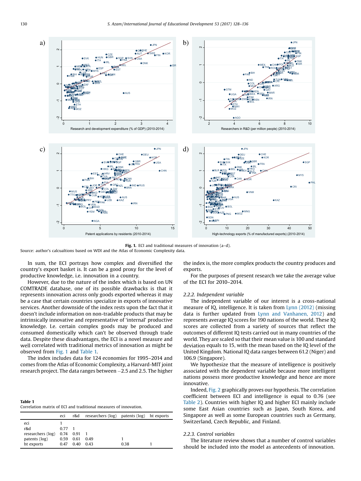<span id="page-3-0"></span>

Fig. 1. ECI and traditional measures of innovation (a–d).

Source: author's calcualtions based on WDI and the Atlas of Economic Complexity data.

In sum, the ECI portrays how complex and diversified the country's export basket is. It can be a good proxy for the level of productive knowledge, i.e. innovation in a country.

However, due to the nature of the index which is based on UN COMTRADE database, one of its possible drawbacks is that it represents innovation across only goods exported whereas it may be a case that certain countries specialize in exports of innovative services. Another downside of the index rests upon the fact that it doesn't include information on non-tradable products that may be intrinsically innovative and representative of 'internal' productive knowledge. I.e. certain complex goods may be produced and consumed domestically which can't be observed through trade data. Despite these disadvantages, the ECI is a novel measure and well correlated with traditional metrics of innovation as might be observed from Fig. 1 and Table 1.

The index includes data for 124 economies for 1995–2014 and comes from the Atlas of Economic Complexity, a Harvard-MIT joint research project. The data ranges between  $-2.5$  and 2.5. The higher

Table 1 Correlation matrix of ECI and traditional measures of innovation.

|                   | eci       | r&d  | researchers (log) patents (log) |      | ht exports |
|-------------------|-----------|------|---------------------------------|------|------------|
| eci               |           |      |                                 |      |            |
| r&d               | 0.77      |      |                                 |      |            |
| researchers (log) | 0.74 0.91 |      |                                 |      |            |
| patents (log)     | 0.59      | 0.61 | 0.49                            |      |            |
| ht exports        | 0.47      | 0.40 | 0.43                            | 0.38 |            |

the index is, the more complex products the country produces and exports.

For the purposes of present research we take the average value of the ECI for 2010–2014.

#### *2.2.2. Independent variable*

The independent variable of our interest is a cross-national measure of IQ, intelligence. It is taken from Lynn [\(2012\)](#page-8-0) (missing data is further updated from Lynn and [Vanhanen,](#page-8-0) 2012) and represents average IQ scores for 190 nations of the world. These IQ scores are collected from a variety of sources that reflect the outcomes of different IQ tests carried out in many countries of the world. They are scaled so that their mean value is 100 and standard deviation equals to 15, with the mean based on the IQ level of the United Kingdom. National IQ data ranges between 61.2 (Niger) and 106.9 (Singapore).

We hypothesize that the measure of intelligence is positively associated with the dependent variable because more intelligent nations possess more productive knowledge and hence are more innovative.

Indeed, [Fig.](#page-4-0) 2 graphically proves our hypothesis. The correlation coefficient between ECI and intelligence is equal to 0.76 (see [Table](#page-4-0) 2). Countries with higher IQ and higher ECI mainly include some East Asian countries such as Japan, South Korea, and Singapore as well as some European countries such as Germany, Switzerland, Czech Republic, and Finland.

#### *2.2.3. Control variables*

The literature review shows that a number of control variables should be included into the model as antecedents of innovation.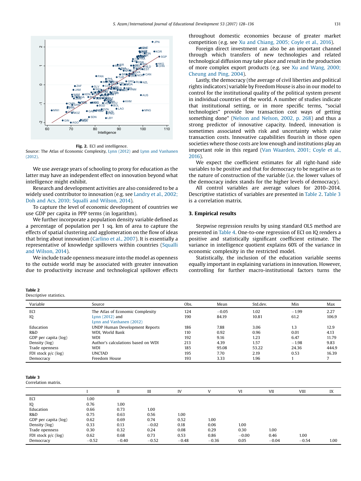<span id="page-4-0"></span>



Source: The Atlas of Economic Complexity, Lynn [\(2012\)](#page-8-0) and Lynn and [Vanhanen](#page-8-0) [\(2012\)](#page-8-0).

We use average years of schooling to proxy for education as the latter may have an independent effect on innovation beyond what intelligence might exhibit.

Research and development activities are also considered to be a widely used contributor to innovation (e.g. see [Landry](#page-8-0) et al., 2002; Doh and Acs, 2010; Squalli and [Wilson,](#page-8-0) 2014).

To capture the level of economic development of countries we use GDP per capita in PPP terms (in logarithm).

We further incorporate a population density variable defined as a percentage of population per 1 sq. km of area to capture the effects of spatial clustering and agglomeration on the flow of ideas that bring about innovation ([Carlino](#page-8-0) et al., 2007). It is essentially a representative of knowledge spillovers within countries ([Squalli](#page-9-0) and [Wilson,](#page-9-0) 2014).

We include trade openness measure into the model as openness to the outside world may be associated with greater innovation due to productivity increase and technological spillover effects

#### Table 2

Descriptive statistics.

| Variable              | Source                                | Obs. | Mean    | Std.dev. | Min     | Max   |
|-----------------------|---------------------------------------|------|---------|----------|---------|-------|
| ECI                   | The Atlas of Economic Complexity      | 124  | $-0.05$ | 1.02     | $-1.99$ | 2.27  |
| IQ                    | Lynn $(2012)$ and                     | 190  | 84.19   | 10.81    | 61.2    | 106.9 |
|                       | Lynn and Vanhanen (2012)              |      |         |          |         |       |
| Education             | <b>UNDP Human Development Reports</b> | 186  | 7.88    | 3.06     | 1.3     | 12.9  |
| R&D                   | WDI. World Bank                       | 110  | 0.92    | 0.96     | 0.01    | 4.13  |
| GDP per capita (log)  | WDI                                   | 192  | 9.16    | 1.23     | 6.47    | 11.79 |
| Density (log)         | Author's calculations based on WDI    | 213  | 4.39    | 1.57     | $-1.98$ | 9.83  |
| Trade openness        | <b>WDI</b>                            | 185  | 95.08   | 53.22    | 24.36   | 444.9 |
| FDI stock $p/c$ (log) | <b>UNCTAD</b>                         | 195  | 7.70    | 2.19     | 0.53    | 16.39 |
| Democracy             | Freedom House                         | 193  | 3.33    | 1.96     |         |       |
|                       |                                       |      |         |          |         |       |

#### Table 3

Correlation matrix.

|                       |         |         | Ш       | IV      | $\overline{ }$ | VI      | <b>VII</b> | <b>VIII</b> | IX   |
|-----------------------|---------|---------|---------|---------|----------------|---------|------------|-------------|------|
| ECI                   | 1.00    |         |         |         |                |         |            |             |      |
| IQ                    | 0.76    | 1.00    |         |         |                |         |            |             |      |
| Education             | 0.66    | 0.73    | 1.00    |         |                |         |            |             |      |
| R&D                   | 0.75    | 0.63    | 0.56    | 1.00    |                |         |            |             |      |
| GDP per capita (log)  | 0.62    | 0.69    | 0.74    | 0.52    | 1.00           |         |            |             |      |
| Density (log)         | 0.33    | 0.13    | $-0.02$ | 0.18    | 0.06           | 1.00    |            |             |      |
| Trade openness        | 0.30    | 0.32    | 0.24    | 0.08    | 0.29           | 0.30    | 1.00       |             |      |
| FDI stock $p/c$ (log) | 0.62    | 0.68    | 0.73    | 0.53    | 0.86           | $-0.00$ | 0.46       | 1.00        |      |
| Democracy             | $-0.52$ | $-0.40$ | $-0.52$ | $-0.48$ | $-0.36$        | 0.05    | $-0.04$    | $-0.54$     | 1.00 |

throughout domestic economies because of greater market competition (e.g. see Xu and [Chiang,](#page-9-0) 2005; Coyle et al., 2016).

Foreign direct investment can also be an important channel through which transfers of new technologies and related technological diffusion may take place and result in the production of more complex export products (e.g. see Xu and [Wang,](#page-9-0) 2000; [Cheung](#page-9-0) and Ping, 2004).

Lastly, the democracy (the average of civil liberties and political rights indicators) variable by Freedom House is also in our model to control for the institutional quality of the political system present in individual countries of the world. A number of studies indicate that institutional setting, or in more specific terms, "social technologies" provide low transaction cost ways of getting something done" (Nelson and [Nelson,](#page-8-0) 2002, p. 268) and thus a strong predictor of innovative capacity. Indeed, innovation is sometimes associated with risk and uncertainty which raise transaction costs. Innovative capabilities flourish in those open societies where those costs are low enough and institutions play an important role in this regard (Van [Waarden,](#page-9-0) 2001; Coyle et al., [2016\)](#page-9-0).

We expect the coefficient estimates for all right-hand side variables to be positive and that for democracy to be negative as to the nature of construction of the variable (i.e. the lower values of the democracy index stands for the higher levels of democracy).

All control variables are average values for 2010–2014. Descriptive statistics of variables are presented in Table 2. Table 3 is a correlation matrix.

#### 3. Empirical results

Stepwise regression results by using standard OLS method are presented in [Table](#page-5-0) 4. One-to-one regression of ECI on IQ renders a positive and statistically significant coefficient estimate. The variance in intelligence quotient explains 60% of the variance in economic complexity in the restricted model.

Statistically, the inclusion of the education variable seems equally important in explaining variations in innovation. However, controlling for further macro-institutional factors turns the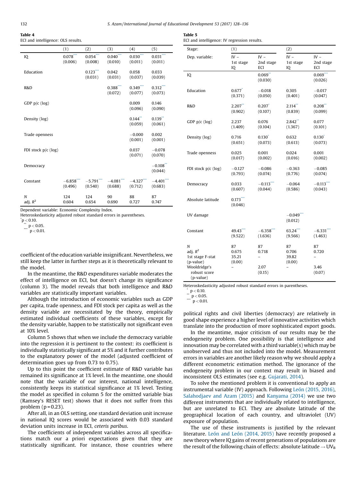<span id="page-5-0"></span>Table 4

Table 5

ECI and intelligence: IV regression results.

|  | ECI and intelligence: OLS results. |  |
|--|------------------------------------|--|

|                       | (1)                 | (2)                    | (3)                    | (4)                    | (5)                               |
|-----------------------|---------------------|------------------------|------------------------|------------------------|-----------------------------------|
| IQ                    | 0.078<br>(0.006)    | 0.054<br>(0.008)       | $0.040$ ***<br>(0.010) | $0.030$ ***<br>(0.011) | $0.031$ <sup>***</sup><br>(0.011) |
| Education             |                     | $0.123$ ***<br>(0.031) | 0.042<br>(0.031)       | 0.058<br>(0.037)       | 0.033<br>(0.039)                  |
| R&D                   |                     |                        | 0.388<br>(0.072)       | 0.349<br>(0.077)       | 0.312<br>(0.073)                  |
| GDP $p/c$ (log)       |                     |                        |                        | 0.009<br>(0.096)       | 0.146<br>(0.090)                  |
| Density (log)         |                     |                        |                        | 0.144<br>(0.059)       | $0.139$ <sup>**</sup><br>(0.061)  |
| Trade openness        |                     |                        |                        | $-0.000$<br>(0.001)    | 0.002<br>(0.001)                  |
| FDI stock $p/c$ (log) |                     |                        |                        | 0.037<br>(0.071)       | $-0.078$<br>(0.070)               |
| Democracy             |                     |                        |                        |                        | $-0.108$<br>(0.044)               |
| Constant              | $-6.858$<br>(0.496) | $-5.791$<br>(0.540)    | $-4.081$<br>(0.688)    | $-4.327$<br>(0.712)    | $-4.401$<br>(0.683)               |
| N<br>adj. $R^2$       | 124<br>0.604        | 124<br>0.654           | 90<br>0.690            | 88<br>0.727            | 87<br>0.747                       |

Dependent variable: Economic Complexity Index.

Heteroskedasticity adjusted robust standard errors in parentheses.

 $p$  < 0.10.

 $p < 0.05$ .

 $p < 0.01$ .

coefficient of the education variable insignificant. Nevertheless, we still keep the latter in further steps as it is theoretically relevant to the model.

In the meantime, the R&D expenditures variable moderates the effect of intelligence on ECI, but doesn't change its significance (column 3). The model reveals that both intelligence and R&D variables are statistically important variables.

Although the introduction of economic variables such as GDP per capita, trade openness, and FDI stock per capita as well as the density variable are necessitated by the theory, empirically estimated individual coefficients of these variables, except for the density variable, happen to be statistically not significant even at 10% level.

Column 5 shows that when we include the democracy variable into the regression it is pertinent to the context: its coefficient is individually statistically significant at 5% and it further contributes to the explanatory power of the model (adjusted coefficient of determination goes up from 0.73 to 0.75).

Up to this point the coefficient estimate of R&D variable has remained its significance at 1% level. In the meantime, one should note that the variable of our interest, national intelligence, consistently keeps its statistical significance at 1% level. Testing the model as specified in column 5 for the omitted variable bias (Ramsey's RESET test) shows that it does not suffer from this problem  $(p = 0.23)$ .

After all, in an OLS setting, one standard deviation unit increase in national IQ scores would be associated with 0.03 standard deviation units increase in ECI, *ceteris paribus*.

The coefficients of independent variables across all specifications match our a priori expectations given that they are statistically significant. For instance, those countries where

| Stage:                                                                                        | (1)                            |                               | (2)                            |                               |
|-----------------------------------------------------------------------------------------------|--------------------------------|-------------------------------|--------------------------------|-------------------------------|
| Dep. variable:                                                                                | $IV -$                         | $IV -$                        | $IV -$                         | $IV -$                        |
|                                                                                               | 1st stage                      | 2nd stage                     | 1st stage                      | 2nd stage                     |
|                                                                                               | IQ                             | ECI                           | IQ                             | ECI                           |
| IQ                                                                                            |                                | 0.069<br>(0.030)              |                                | 0.069<br>(0.026)              |
| Education                                                                                     | 0.677                          | $-0.018$                      | 0.305                          | $-0.017$                      |
|                                                                                               | (0.371)                        | (0.050)                       | (0.401)                        | (0.047)                       |
| R&D                                                                                           | 2.207                          | $0.207$ <sup>*</sup>          | $2.114$ <sup>**</sup>          | 0.208                         |
|                                                                                               | (0.902)                        | (0.107)                       | (0.839)                        | (0.099)                       |
| GDP $p/c$ (log)                                                                               | 2.237                          | 0.076                         | 2.842                          | 0.077                         |
|                                                                                               | (1.409)                        | (0.104)                       | (1.367)                        | (0.101)                       |
| Density (log)                                                                                 | 0.716                          | 0.130                         | 0.632                          | 0.130                         |
|                                                                                               | (0.651)                        | (0.073)                       | (0.613)                        | (0.073)                       |
| Trade openness                                                                                | 0.025                          | 0.001                         | 0.024                          | 0.001                         |
|                                                                                               | (0.017)                        | (0.002)                       | (0.016)                        | (0.002)                       |
| FDI stock $p/c$ (log)                                                                         | $-0.127$                       | $-0.086$                      | $-0.363$                       | $-0.085$                      |
|                                                                                               | (0.793)                        | (0.074)                       | (0.776)                        | (0.074)                       |
| Democracy                                                                                     | 0.033                          | $-0.113$                      | $-0.064$                       | $-0.113$                      |
|                                                                                               | (0.607)                        | (0.044)                       | (0.586)                        | (0.043)                       |
| Absolute latitude                                                                             | $0.173$ ***<br>(0.046)         |                               |                                |                               |
| UV damage                                                                                     |                                |                               | $-0.049$<br>(0.012)            |                               |
| Constant                                                                                      | 49.43                          | $-6.358$                      | 63.24                          | $-6.331$                      |
|                                                                                               | (9.522)                        | (1.636)                       | (9.566)                        | (1.463)                       |
| N<br>adj. $R^2$<br>1st stage F-stat<br>(p-value)<br>Wooldridge's<br>robust score<br>(p-value) | 87<br>0.675<br>35.21<br>(0.00) | 87<br>0.718<br>2.07<br>(0.15) | 87<br>0.706<br>39.82<br>(0.00) | 87<br>0.720<br>3.46<br>(0.07) |

Heteroskedasticity adjusted robust standard errors in parentheses.

 $p < 0.10$ .

 $\sum_{**}$  p < 0.05.

 $p < 0.01$ .

political rights and civil liberties (democracy) are relatively in good shape experience a higher level of innovative activities which translate into the production of more sophisticated export goods.

In the meantime, major criticism of our results may be the endogeneity problem. One possibility is that intelligence and innovation may be correlated with a third variable(s) which may be unobserved and thus not included into the model. Measurement errors in variables are another likely reason why we should apply a different econometric estimation method. The ignorance of the endogeneity problem in our context may result in biased and inconsistent OLS estimates (see e.g. [Gujarati,](#page-8-0) 2014).

To solve the mentioned problem it is conventional to apply an instrumental variable (IV) approach. Following León [\(2015,](#page-8-0) 2016), [Salahodjaev](#page-9-0) and Azam (2015) and [Kanyama](#page-8-0) (2014) we use two different instruments that are individually related to intelligence, but are unrelated to ECI. They are absolute latitude of the geographical location of each country, and ultraviolet (UV) exposure of population.

The use of these instruments is justified by the relevant literature. León and León [\(2014,](#page-8-0) 2015) have recently proposed a new theory where IQ gains of recent generations of populations are the result of the following chain of effects: absolute latitude  $\rightarrow$  UV<sub>B</sub>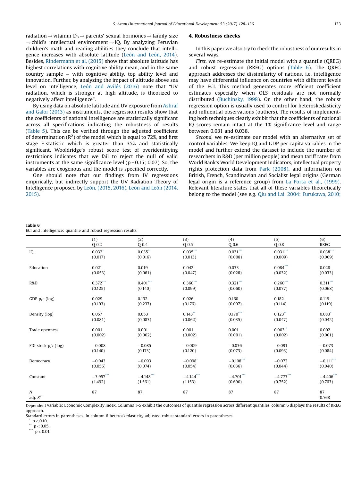<span id="page-6-0"></span>radiation  $\rightarrow$  vitamin  $D_3 \rightarrow$  parents' sexual hormones  $\rightarrow$  family size  $\rightarrow$  child's intellectual environment  $\rightarrow$  IO. By analyzing Peruvian children's math and reading abilities they conclude that intelligence increases with absolute latitude (León and [León,](#page-8-0) 2014). Besides, [Rindermann](#page-9-0) et al. (2015) show that absolute latitude has highest correlations with cognitive ability mean, and in the same country sample  $-$  with cognitive ability, top ability level and innovation. Further, by analyzing the impact of altitude above sea level on intelligence, León and Avilés [\(2016\)](#page-8-0) note that "UV radiation, which is stronger at high altitude, is theorized to negatively affect intelligence".

By using data on absolute latitude and UV exposure from [Ashraf](#page-8-0) and Galor [\(2013\)](#page-8-0) as instruments, the regression results show that the coefficients of national intelligence are statistically significant across all specifications indicating the robustness of results ([Table](#page-5-0) 5). This can be verified through the adjusted coefficient of determination ( $\mathbb{R}^2$ ) of the model which is equal to 72%, and first stage F-statistic which is greater than 35% and statistically significant. Wooldridge's robust score test of overidentifying restrictions indicates that we fail to reject the null of valid instruments at the same significance level ( $p = 0.15$ ; 0.07). So, the variables are exogenous and the model is specified correctly.

One should note that our findings from IV regressions empirically, but indirectly support the UV Radiation Theory of Intelligence proposed by León, [\(2015,](#page-8-0) 2016), León and León [\(2014,](#page-8-0) [2015\)](#page-8-0).

#### 4. Robustness checks

In this paper we also try to check the robustness of our results in several ways.

*First,* we re-estimate the initial model with a quantile (QREG) and robust regression (RREG) options (Table 6). The QREG approach addresses the dissimilarity of nations, i.e. intelligence may have differential influence on countries with different levels of the ECI. This method generates more efficient coefficient estimates especially when OLS residuals are not normally distributed ([Buchinsky,](#page-8-0) 1998). On the other hand, the robust regression option is usually used to control for heteroskedasticity and influential observations (outliers). The results of implementing both techniques clearly exhibit that the coefficients of national IQ scores remain intact at the 1% significance level and range between 0.031 and 0.038.

*Second,* we re-estimate our model with an alternative set of control variables. We keep IQ and GDP per capita variables in the model and further extend the dataset to include the number of researchers in R&D (per million people) and mean tariff rates from World Bank's World Development Indicators, intellectual property rights protection data from Park [\(2008\),](#page-8-0) and information on British, French, Scandinavian and Socialist legal origins (German legal origin is a reference group) from La Porta et al., [\(1999\)](#page-8-0). Relevant literature states that all of these variables theoretically belong to the model (see e.g. Qiu and Lai, 2004; [Furukawa,](#page-9-0) 2010;

#### Table 6

ECI and intelligence: quantile and robust regression results.

| ser and memgeneer quantue and robast regression results. |                    |                          |                         |                            |                        |              |
|----------------------------------------------------------|--------------------|--------------------------|-------------------------|----------------------------|------------------------|--------------|
|                                                          | (1)                | (2)                      | (3)                     | (4)                        | (5)                    | (6)          |
|                                                          | $Q$ 0.2            | $\mbox{Q\,0.4}$          | $Q$ 0.5                 | Q <sub>0.6</sub>           | $Q$ 0.8                | RREG         |
| IQ                                                       | $0.032^{^{\circ}}$ | $0.035\overset{\ast}{.}$ | 0.035                   | 0.031                      | $0.031$ ***            | 0.038        |
|                                                          | (0.017)            | (0.016)                  | (0.013)                 | (0.008)                    | (0.009)                | (0.009)      |
| Education                                                | 0.021              | 0.019                    | 0.042                   | 0.033                      | 0.084                  | 0.028        |
|                                                          | (0.053)            | (0.061)                  | (0.047)                 | (0.028)                    | (0.032)                | (0.033)      |
| R&D                                                      | $0.372$ ***        | $0.401$ ***              | 0.360                   | $0.321\overset{\cdots}{ }$ | $0.260$ <sup>***</sup> | $0.311$ ***  |
|                                                          | (0.125)            | (0.140)                  | (0.099)                 | (0.060)                    | (0.077)                | (0.068)      |
| GDP $p/c$ (log)                                          | 0.029              | 0.132                    | 0.026                   | 0.160                      | 0.182                  | 0.119        |
|                                                          | (0.193)            | (0.237)                  | (0.176)                 | (0.097)                    | (0.114)                | (0.119)      |
| Density (log)                                            | 0.057              | 0.053                    | 0.143                   | $0.170$ ***                | 0.123                  | 0.083        |
|                                                          | (0.081)            | (0.083)                  | (0.062)                 | (0.035)                    | (0.047)                | (0.042)      |
| Trade openness                                           | 0.001              | 0.001                    | 0.001                   | 0.001                      | $0.003$ **             | 0.002        |
|                                                          | (0.002)            | (0.002)                  | (0.002)                 | (0.001)                    | (0.002)                | (0.001)      |
| FDI stock $p/c$ (log)                                    | $-0.008$           | $-0.085$                 | $-0.009$                | $-0.036$                   | $-0.091$               | $-0.073$     |
|                                                          | (0.140)            | (0.173)                  | (0.120)                 | (0.073)                    | (0.093)                | (0.084)      |
| Democracy                                                | $-0.043$           | $-0.093$                 | $-0.098$                | $-0.108$                   | $-0.072$               | $-0.111$ *** |
|                                                          | (0.056)            | (0.074)                  | (0.054)                 | (0.036)                    | (0.044)                | (0.040)      |
| Constant                                                 | $-3.957$           | $-4.148$                 | $-4.144$ <sup>***</sup> | $-4.701$ ***               | $-4.773$ ***           | $-4.406$     |
|                                                          | (1.492)            | (1.561)                  | (1.153)                 | (0.690)                    | (0.752)                | (0.763)      |
| Ν<br>adj. $R^2$                                          | 87                 | 87                       | 87                      | 87                         | 87                     | 87<br>0.768  |

Dependent variable: Economic Complexity Index. Columns 1-5 exhibit the outcomes of quantile regression across different quantiles, column 6 displays the results of RREG approach.

Standard errors in parentheses. In column 6 heteroskedasticity adjusted robust standard errors in parentheses.

 $p < 0.10$ .

 $p < 0.05$ .

 $p < 0.01$ .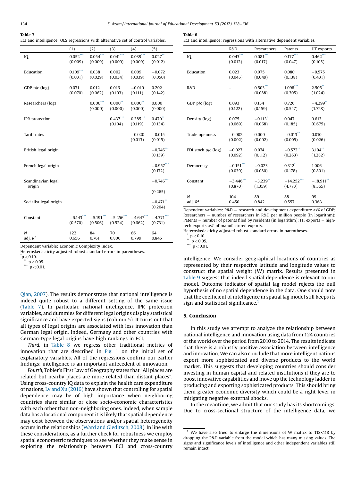<span id="page-7-0"></span>

| Table 7                                                                          |  |
|----------------------------------------------------------------------------------|--|
| ECI and intelligence: OLS regressions with alternative set of control variables. |  |

|                              | (1)                               | (2)                               | (3)                              | (4)                              | (5)                   |
|------------------------------|-----------------------------------|-----------------------------------|----------------------------------|----------------------------------|-----------------------|
| IQ                           | $0.052$ <sup>*</sup><br>(0.009)   | 0.054<br>(0.009)                  | $0.041$ ***<br>(0.009)           | 0.039<br>(0.009)                 | 0.027<br>(0.012)      |
| Education                    | $0.109$ <sup>***</sup><br>(0.031) | 0.038<br>(0.029)                  | 0.002<br>(0.034)                 | 0.009<br>(0.039)                 | $-0.072$<br>(0.050)   |
| GDP $p/c$ (log)              | 0.071<br>(0.070)                  | 0.012<br>(0.062)                  | 0.016<br>(0.103)                 | $-0.010$<br>(0.111)              | 0.202<br>(0.142)      |
| Researchers (log)            |                                   | $0.000$ <sup>***</sup><br>(0.000) | $0.000$ <sup>**</sup><br>(0.000) | $0.000$ <sup>**</sup><br>(0.000) | 0.000<br>(0.000)      |
| IPR protection               |                                   |                                   | 0.437<br>(0.104)                 | $0.385$<br>(0.119)               | 0.470<br>(0.134)      |
| <b>Tariff rates</b>          |                                   |                                   |                                  | $-0.020$<br>(0.013)              | $-0.015$<br>(0.015)   |
| British legal origin         |                                   |                                   |                                  |                                  | $-0.746$<br>(0.159)   |
| French legal origin          |                                   |                                   |                                  |                                  | $-0.957$<br>(0.172)   |
| Scandinavian legal<br>origin |                                   |                                   |                                  |                                  | $-0.746$ <sup>*</sup> |
|                              |                                   |                                   |                                  |                                  | (0.265)               |
| Socialist legal origin       |                                   |                                   |                                  |                                  | $-0.471$<br>(0.204)   |
| Constant                     | $-6.143$ <sup>*</sup><br>(0.570)  | $-5.191$<br>(0.506)               | $-5.256$ <sup>*</sup><br>(0.524) | $-4.647$<br>(0.662)              | $-4.371$<br>(0.731)   |
| N<br>adj. $R^2$              | 122<br>0.656                      | 84<br>0.761                       | 70<br>0.800                      | 66<br>0.799                      | 64<br>0.845           |

Dependent variable: Economic Complexity Index.

Heteroskedasticity adjusted robust standard errors in parentheses.

 $p$  < 0.10.

 $\sum_{n=1}^{10} p < 0.05$ .

 $p < 0.01$ .

[Qian,](#page-9-0) 2007). The results demonstrate that national intelligence is indeed quite robust to a different setting of the same issue (Table 7). In particular, national intelligence, IPR protection variables, and dummies for different legal origins display statistical significance and have expected signs (column 5). It turns out that all types of legal origins are associated with less innovation than German legal origin. Indeed, Germany and other countries with German-type legal origins have high rankings in ECI.

*Third,* in Table 8 we regress other traditional metrics of innovation that are described in [Fig.](#page-3-0) 1 on the initial set of explanatory variables. All of the regressions confirm our earlier findings: intelligence is an important antecedent of innovation.

*Fourth,* Tobler's First Law of Geography states that "All places are related but nearby places are more related than distant places". Using cross-country IQ data to explain the health care expenditure of nations, Lv and Xu [\(2016\)](#page-8-0) have shown that controlling for spatial dependence may be of high importance when neighboring countries share similar or close socio-economic characteristics with each other than non-neighboring ones. Indeed, when sample data has a locational component it is likely that spatial dependence may exist between the observations and/or spatial heterogeneity occurs in the relationships (Ward and [Gleditsch,](#page-9-0) 2008). In line with these considerations, as a further check for robustness we employ spatial econometric techniques to see whether they make sense in exploring the relationship between ECI and cross-country

| Table 8<br>ECI and intelligence: regressions with alternative dependent variables |     |             |         |   |
|-----------------------------------------------------------------------------------|-----|-------------|---------|---|
|                                                                                   | R&D | Researchers | Patents | н |

|                       | R&D                 | Researchers                      | Patents                           | HT exports            |
|-----------------------|---------------------|----------------------------------|-----------------------------------|-----------------------|
| IО                    | $0.043$ ***         | 0.081                            | $0.177***$                        | 0.462                 |
|                       | (0.012)             | (0.017)                          | (0.047)                           | (0.105)               |
| Education             | 0.023               | 0.075                            | 0.080                             | $-0.575$              |
|                       | (0.045)             | (0.049)                          | (0.138)                           | (0.431)               |
| R&D                   |                     | $0.503$ ***                      | 1.098                             | 2.505                 |
|                       |                     | (0.088)                          | (0.305)                           | (1.024)               |
| GDP $p/c$ (log)       | 0.093               | 0.134                            | 0.726                             | $-4.299$              |
|                       | (0.122)             | (0.159)                          | (0.547)                           | (1.728)               |
|                       |                     |                                  |                                   |                       |
| Density (log)         | 0.075<br>(0.069)    | $-0.113$ <sup>*</sup><br>(0.068) | 0.047<br>(0.185)                  | 0.613<br>(0.675)      |
|                       |                     |                                  |                                   |                       |
| Trade openness        | $-0.002$<br>(0.002) | 0.000<br>(0.002)                 | $-0.013$ <sup>**</sup><br>(0.005) | 0.010<br>(0.026)      |
|                       |                     |                                  |                                   |                       |
| FDI stock $p/c$ (log) | $-0.027$            | 0.074                            | $-0.572$                          | $3.194$ <sup>**</sup> |
|                       | (0.092)             | (0.112)                          | (0.263)                           | (1.282)               |
| Democracy             | $-0.151$ ***        | $-0.023$                         | $0.312$ <sup>*</sup>              | 1.006                 |
|                       | (0.039)             | (0.080)                          | (0.178)                           | (0.801)               |
| Constant              | $-3.446$ ***        | $-3.239$ <sup>**</sup>           | $-14.252$                         | $-18.911$             |
|                       | (0.870)             | (1.359)                          | (4.773)                           | (8.565)               |
| $\overline{N}$        | 104                 | 89                               | 88                                | 99                    |
| adj. $R^2$            | 0.450               | 0.842                            | 0.557                             | 0.363                 |

Dependent variables:  $R&D$  – research and development expenditure as% of GDP; Researchers  $-$  number of researchers in R&D per million people (in logarithm): Patents - number of patents filed by residents (in logarithm); HT exports - hightech exports as% of manufactured exports.

Heteroskedasticity adjusted robust standard errors in parentheses.

 $p < 0.10$ .

 $\sum_{n=1}^{\infty} p < 0.05$ .

 $p < 0.01$ .

intelligence. We consider geographical locations of countries as represented by their respective latitude and longitude values to construct the spatial weight (W) matrix. Results presented in [Table](#page-8-0) 9 suggest that indeed spatial dependence is relevant to our model. Outcome indicator of spatial lag model rejects the null hypothesis of no spatial dependence in the data. One should note that the coefficient of intelligence in spatial lag model still keeps its sign and statistical significance.<sup>1</sup>

#### 5. Conclusion

In this study we attempt to analyze the relationship between national intelligence and innovation using data from 124 countries of the world over the period from 2010 to 2014. The results indicate that there is a robustly positive association between intelligence and innovation. We can also conclude that more intelligent nations export more sophisticated and diverse products to the world market. This suggests that developing countries should consider investing in human capital and related institutions if they are to boost innovative capabilities and move up the technology ladder in producing and exporting sophisticated products. This should bring them greater economic diversity which could be a right lever in mitigating negative external shocks.

In the meantime, we admit that our study has its shortcomings. Due to cross-sectional structure of the intelligence data, we

We have also tried to enlarge the dimensions of W matrix to 118x118 by dropping the R&D variable from the model which has many missing values. The signs and significance levels of intelligence and other independent variables still remain intact.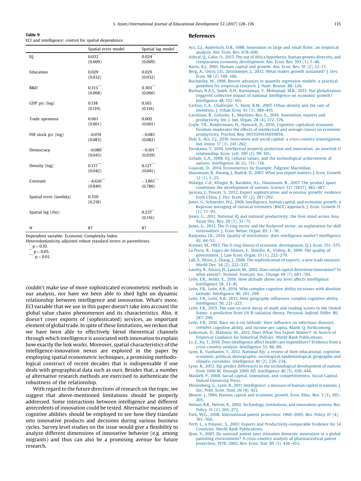<span id="page-8-0"></span>

| Table 9 |                                                       |
|---------|-------------------------------------------------------|
|         | ECI and intelligence: control for spatial dependence. |

|                        | Spatial error model              | Spatial lag model                 |
|------------------------|----------------------------------|-----------------------------------|
| IQ                     | 0.032<br>(0.009)                 | 0.024<br>(0.009)                  |
| Education              | 0.029<br>(0.032)                 | 0.029<br>(0.032)                  |
| R&D                    | $0.313$ ***<br>(0.068)           | $0.303$<br>(0.066)                |
| GDP $p/c$ (log)        | 0.158<br>(0.119)                 | 0.165<br>(0.116)                  |
| Trade openness         | 0.001<br>(0.001)                 | 0.002<br>(0.001)                  |
| FDI stock $p/c$ (log)  | $-0.074$<br>(0.083)              | $-0.081$<br>(0.082)               |
| Democracy              | $-0.080$ <sup>*</sup><br>(0.043) | $-0.101$ ***<br>(0.039)           |
| Density (log)          | $0.137$ $\cdots$<br>(0.042)      | $0.127$ <sup>***</sup><br>(0.041) |
| Constant               | $-4.620$<br>(0.849)              | $-3.861$ ***<br>(0.786)           |
| Spatial error (lambda) | 0.359<br>(0.218)                 |                                   |
| Spatial lag (rho)      |                                  | 0.237<br>(0.116)                  |
| N                      | 87                               | 87                                |

Dependent variable: Economic Complexity Index.

Heteroskedasticity adjusted robust standard errors in parentheses.

 $p < 0.10$ .

 $p < 0.05$ .

 $p < 0.01$ .

couldn't make use of more sophisticated econometric methods in our analysis, nor have we been able to shed light on dynamic relationship between intelligence and innovation. What's more, ECI variable that we use in this paper doesn't take into account the global value chains phenomenon and its characteristics. Also, it doesn't cover exports of (sophisticated) services, an important element of global trade. In spite of these limitations, we reckon that we have been able to effectively blend theoretical channels through which intelligence is associated with innovation to explain how exactly the link works. Moreover, spatial characteristics of the intelligence-innovation nexus are explored in the paper by employing spatial econometric techniques, a promising methodological construct of recent decades that is indispensable if one deals with geographical data such as ours. Besides that, a number of alternative research methods are exercised to authenticate the robustness of the relationship.

With regard to the future directions of research on the topic, we suggest that above-mentioned limitations should be properly addressed. Some interactions between intelligence and different antecedents of innovation could be tested. Alternative measures of cognitive abilities should be employed to see how they translate into innovative products and decisions during various business cycles. Survey level studies on the issue would give a flexibility to analyze different dimensions of innovative behavior (e.g. among migrants) and thus can also be a promising avenue for future research.

#### References

| Acs, Z.J., Audretsch, D.B., 1988. Innovation in large and small firms: an empirical                                                                                    |
|------------------------------------------------------------------------------------------------------------------------------------------------------------------------|
| analysis. Am. Econ. Rev. 678-690.<br>Ashraf, Q., Galor, O., 2013. The out of Africa hypothesis, human genetic diversity, and                                           |
| comparative economic development. Am. Econ. Rev. 103 (1), 1–46.                                                                                                        |
| Barro, R.J., 2001. Human capital and growth. Am. Econ. Rev. 91 (2), 12–17.                                                                                             |
| Berg, A., Ostry, J.D., Zettelmeyer, J., 2012. What makes growth sustained? J. Dev.<br>Econ. 98 (2), 149-166.                                                           |
| Buchinsky, M., 1998. Recent advances in quantile regression models: a practical                                                                                        |
| guideline for empirical research. J. Hum. Resour. 88-126.                                                                                                              |
| Burhan, N.A.S., Sidek, A.H., Kurniawan, Y., Mohamad, M.R., 2015. Has globalization                                                                                     |
| triggered collective impact of national intelligence on economic growth?<br>Intelligence 48, 152-161.                                                                  |
| Carlino, G.A., Chatterjee, S., Hunt, R.M., 2007. Urban density and the rate of                                                                                         |
| invention. J. Urban Econ. 61 (3), 389–419.                                                                                                                             |
| Cassiman, B., Golovko, E., Martínez-Ros, E., 2010. Innovation, exports and<br>productivity. Int. J. Ind. Organ. 28 (4), 372-376.                                       |
| Coyle, T.R., Rindermann, H., Hancock, D., 2016. Cognitive capitalism economic                                                                                          |
| freedom moderates the effects of intellectual and average classes on economic                                                                                          |
| productivity. Psychol. Rep. 0033294116659854.<br>Doh, S., Acs, Z.J., 2010. Innovation and social capital: a cross-country investigation.                               |
| Ind. Innov. 17 (3), 241-262.                                                                                                                                           |
| Furukawa, Y., 2010. Intellectual property protection and innovation: an inverted-U                                                                                     |
| relationship. Econ. Lett. 109 (2), 99–101.                                                                                                                             |
| Gelade, G.A., 2008. IQ, cultural values, and the technological achievement of<br>nations. Intelligence 36 (6), 711-718.                                                |
| Gujarati, D., 2014. Econometrics by Example. Palgrave Macmillan.                                                                                                       |
| Hausmann, R., Hwang, J., Rodrik, D., 2007. What you export matters. J. Econ. Growth                                                                                    |
| $12(1), 1-25.$<br>Hidalgo, C.A., Klinger, B., Barabási, A.L., Hausmann, R., 2007. The product space                                                                    |
| conditions the development of nations. Science 317 (5837), 482–487.                                                                                                    |
| Jarreau, J., Poncet, S., 2012. Export sophistication and economic growth: evidence                                                                                     |
| from China. J. Dev. Econ. 97 (2), 281-292.                                                                                                                             |
| Jones, G., Schneider, W.J., 2006. Intelligence, human capital, and economic growth: a<br>Bayesian averaging of classical estimates (BACE) approach. J. Econ. Growth 11 |
| $(1), 71-93.$                                                                                                                                                          |
| Jones, G., 2011. National IQ and national productivity: the hive mind across Asia.                                                                                     |
| Asian Dev. Rev. 28 (1), 51-71.<br>Jones, G., 2013. The O-ring sector and the foolproof sector: an explanation for skill                                                |
| externalities. J. Econ. Behav. Organ. 85, 1-10.                                                                                                                        |
| Kanyama, I.K., 2014. Quality of institutions: does intelligence matter? Intelligence                                                                                   |
| 42, 44–52.<br>Kremer, M., 1993. The O-ring theory of economic development. Q. J. Econ. 551–575.                                                                        |
| La Porta, R., Lopez-de-Silanes, F., Shleifer, A., Vishny, R., 1999. The quality of                                                                                     |
| government. J. Law Econ. Organ. 15 (1), 222–279.                                                                                                                       |
| Lall, S., Weiss, J., Zhang, J., 2006. The sophistication of exports: a new trade measure.<br>World Dev. 34 (2), 222-237.                                               |
| Landry, R., Amara, N., Lamari, M., 2002. Does social capital determine innovation? To                                                                                  |
| what extent?. Technol. Forecast. Soc. Change 69 (7), 681-701.                                                                                                          |
| León, F.R., Avilés, E., 2016. How altitude above sea level affects intelligence.<br>Intelligence 58, 33-41.                                                            |
| León, F.R., León, A.B., 2014. Why complex cognitive ability increases with absolute                                                                                    |
| latitude. Intelligence 46, 291-299.                                                                                                                                    |
| León, F.R., León, A.B., 2015. How geography influences complex cognitive ability.<br>Intelligence 50, 221–227.                                                         |
| León, F.R., 2015. The east-to-west decay of math and reading scores in the United                                                                                      |
| States: a prediction from UV B radiation theory. Personal. Individ. Differ. 86,                                                                                        |
| 287-290.<br>León, F.R., 2016. Race vis-à-vis latitude: their influence on infectious diseases,                                                                         |
| complex cognitive ability, and income per capita. Mank. Q. forthcoming.                                                                                                |
| Lederman, D., Maloney, W., 2012. Does What You Export Matter?: In Search of                                                                                            |
| Empirical Guidance for Industrial Policies. World Bank Publications.<br>Lv, Z., Xu, T., 2016. Does intelligence affect health care expenditure? Evidence from a        |
| cross-country analysis. Intelligence 55, 86-89.                                                                                                                        |
| Lynn, R., Vanhanen, T., 2012. National IQs: a review of their educational, cognitive,                                                                                  |
| economic, political, demographic, sociological, epidemiological, geographic and                                                                                        |
| climatic correlates. Intelligence 40 (2), 226-234.<br>Lynn, R., 2012. IQs predict differences in the technological development of nations                              |
| from 1000 BC through 2000 AD. Intelligence 40 (5), 439-444.                                                                                                            |
| Maskell, P., 2000. Social capital, innovation, and competitiveness. Social Capital.                                                                                    |
| <b>Oxford University Press.</b><br>Meisenberg, G., Lynn, R., 2011. Intelligence: a measure of human capital in nations. J.                                             |
| Soc. Polit. Econ. Stud. 36 (4), 421.                                                                                                                                   |
| Mincer, J., 1984. Human capital and economic growth. Econ. Educ. Rev. 3 (3), 195–                                                                                      |
| 205.<br>Nelson, R.R., Nelson, K., 2002. Technology, institutions, and innovation systems. Res.                                                                         |
| Policy 31 (2), 265-272.                                                                                                                                                |
| Park, W.G., 2008. International patent protection: 1960–2005. Res. Policy 37 (4),                                                                                      |
| 761-766.<br>Pertl, L., o Polanec, S., 2007. Exports and Productivity-comparable Evidence for 14                                                                        |
| Countries. World Bank Publications.                                                                                                                                    |
|                                                                                                                                                                        |

Qian, Y., 2007. Do national patent laws stimulate domestic [innovation](http://refhub.elsevier.com/S0738-0593(16)30249-8/sbref0200) in a global patenting environment? A cross-country analysis of [pharmaceutical](http://refhub.elsevier.com/S0738-0593(16)30249-8/sbref0200) patent [protection,](http://refhub.elsevier.com/S0738-0593(16)30249-8/sbref0200) 1978–2002. Rev. Econ. Stat. 89 (3), 436–453.